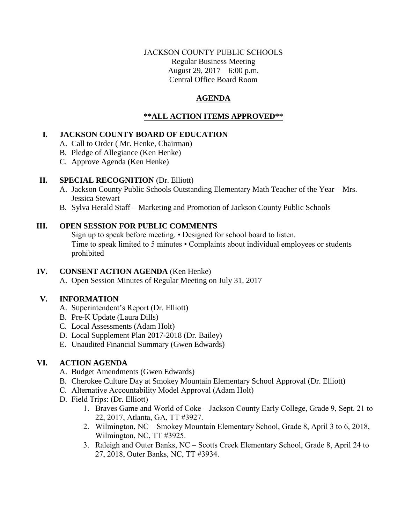### JACKSON COUNTY PUBLIC SCHOOLS Regular Business Meeting August 29, 2017 – 6:00 p.m. Central Office Board Room

# **AGENDA**

# **\*\*ALL ACTION ITEMS APPROVED\*\***

## **I. JACKSON COUNTY BOARD OF EDUCATION**

- A. Call to Order ( Mr. Henke, Chairman)
- B. Pledge of Allegiance (Ken Henke)
- C. Approve Agenda (Ken Henke)

## **II. SPECIAL RECOGNITION** (Dr. Elliott)

- A. Jackson County Public Schools Outstanding Elementary Math Teacher of the Year Mrs. Jessica Stewart
- B. Sylva Herald Staff Marketing and Promotion of Jackson County Public Schools

## **III. OPEN SESSION FOR PUBLIC COMMENTS**

Sign up to speak before meeting. • Designed for school board to listen. Time to speak limited to 5 minutes • Complaints about individual employees or students prohibited

## **IV. CONSENT ACTION AGENDA** (Ken Henke)

A. Open Session Minutes of Regular Meeting on July 31, 2017

## **V. INFORMATION**

- A. Superintendent's Report (Dr. Elliott)
- B. Pre-K Update (Laura Dills)
- C. Local Assessments (Adam Holt)
- D. Local Supplement Plan 2017-2018 (Dr. Bailey)
- E. Unaudited Financial Summary (Gwen Edwards)

## **VI. ACTION AGENDA**

- A. Budget Amendments (Gwen Edwards)
- B. Cherokee Culture Day at Smokey Mountain Elementary School Approval (Dr. Elliott)
- C. Alternative Accountability Model Approval (Adam Holt)
- D. Field Trips: (Dr. Elliott)
	- 1. Braves Game and World of Coke Jackson County Early College, Grade 9, Sept. 21 to 22, 2017, Atlanta, GA, TT #3927.
	- 2. Wilmington, NC Smokey Mountain Elementary School, Grade 8, April 3 to 6, 2018, Wilmington, NC, TT #3925.
	- 3. Raleigh and Outer Banks, NC Scotts Creek Elementary School, Grade 8, April 24 to 27, 2018, Outer Banks, NC, TT #3934.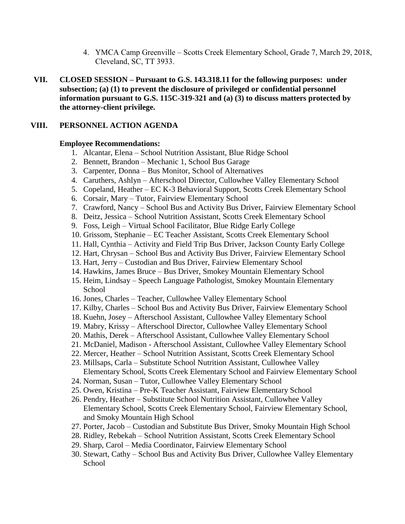- 4. YMCA Camp Greenville Scotts Creek Elementary School, Grade 7, March 29, 2018, Cleveland, SC, TT 3933.
- **VII. CLOSED SESSION – Pursuant to G.S. 143.318.11 for the following purposes: under subsection; (a) (1) to prevent the disclosure of privileged or confidential personnel information pursuant to G.S. 115C-319-321 and (a) (3) to discuss matters protected by the attorney-client privilege.**

#### **VIII. PERSONNEL ACTION AGENDA**

#### **Employee Recommendations:**

- 1. Alcantar, Elena School Nutrition Assistant, Blue Ridge School
- 2. Bennett, Brandon Mechanic 1, School Bus Garage
- 3. Carpenter, Donna Bus Monitor, School of Alternatives
- 4. Caruthers, Ashlyn Afterschool Director, Cullowhee Valley Elementary School
- 5. Copeland, Heather EC K-3 Behavioral Support, Scotts Creek Elementary School
- 6. Corsair, Mary Tutor, Fairview Elementary School
- 7. Crawford, Nancy School Bus and Activity Bus Driver, Fairview Elementary School
- 8. Deitz, Jessica School Nutrition Assistant, Scotts Creek Elementary School
- 9. Foss, Leigh Virtual School Facilitator, Blue Ridge Early College
- 10. Grissom, Stephanie EC Teacher Assistant, Scotts Creek Elementary School
- 11. Hall, Cynthia Activity and Field Trip Bus Driver, Jackson County Early College
- 12. Hart, Chrysan School Bus and Activity Bus Driver, Fairview Elementary School
- 13. Hart, Jerry Custodian and Bus Driver, Fairview Elementary School
- 14. Hawkins, James Bruce Bus Driver, Smokey Mountain Elementary School
- 15. Heim, Lindsay Speech Language Pathologist, Smokey Mountain Elementary School
- 16. Jones, Charles Teacher, Cullowhee Valley Elementary School
- 17. Kilby, Charles School Bus and Activity Bus Driver, Fairview Elementary School
- 18. Kuehn, Josey Afterschool Assistant, Cullowhee Valley Elementary School
- 19. Mabry, Krissy Afterschool Director, Cullowhee Valley Elementary School
- 20. Mathis, Derek Afterschool Assistant, Cullowhee Valley Elementary School
- 21. McDaniel, Madison Afterschool Assistant, Cullowhee Valley Elementary School
- 22. Mercer, Heather School Nutrition Assistant, Scotts Creek Elementary School
- 23. Millsaps, Carla Substitute School Nutrition Assistant, Cullowhee Valley Elementary School, Scotts Creek Elementary School and Fairview Elementary School
- 24. Norman, Susan Tutor, Cullowhee Valley Elementary School
- 25. Owen, Kristina Pre-K Teacher Assistant, Fairview Elementary School
- 26. Pendry, Heather Substitute School Nutrition Assistant, Cullowhee Valley Elementary School, Scotts Creek Elementary School, Fairview Elementary School, and Smoky Mountain High School
- 27. Porter, Jacob Custodian and Substitute Bus Driver, Smoky Mountain High School
- 28. Ridley, Rebekah School Nutrition Assistant, Scotts Creek Elementary School
- 29. Sharp, Carol Media Coordinator, Fairview Elementary School
- 30. Stewart, Cathy School Bus and Activity Bus Driver, Cullowhee Valley Elementary School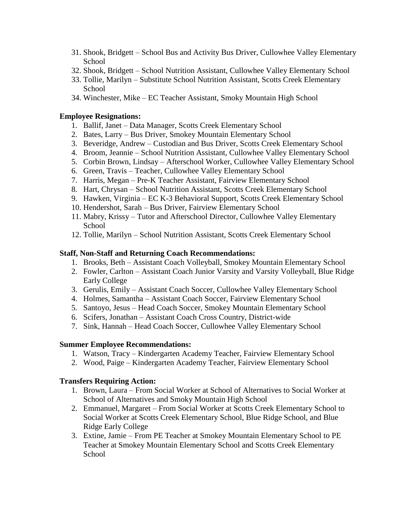- 31. Shook, Bridgett School Bus and Activity Bus Driver, Cullowhee Valley Elementary **School**
- 32. Shook, Bridgett School Nutrition Assistant, Cullowhee Valley Elementary School
- 33. Tollie, Marilyn Substitute School Nutrition Assistant, Scotts Creek Elementary **School**
- 34. Winchester, Mike EC Teacher Assistant, Smoky Mountain High School

#### **Employee Resignations:**

- 1. Ballif, Janet Data Manager, Scotts Creek Elementary School
- 2. Bates, Larry Bus Driver, Smokey Mountain Elementary School
- 3. Beveridge, Andrew Custodian and Bus Driver, Scotts Creek Elementary School
- 4. Broom, Jeannie School Nutrition Assistant, Cullowhee Valley Elementary School
- 5. Corbin Brown, Lindsay Afterschool Worker, Cullowhee Valley Elementary School
- 6. Green, Travis Teacher, Cullowhee Valley Elementary School
- 7. Harris, Megan Pre-K Teacher Assistant, Fairview Elementary School
- 8. Hart, Chrysan School Nutrition Assistant, Scotts Creek Elementary School
- 9. Hawken, Virginia EC K-3 Behavioral Support, Scotts Creek Elementary School
- 10. Hendershot, Sarah Bus Driver, Fairview Elementary School
- 11. Mabry, Krissy Tutor and Afterschool Director, Cullowhee Valley Elementary School
- 12. Tollie, Marilyn School Nutrition Assistant, Scotts Creek Elementary School

#### **Staff, Non-Staff and Returning Coach Recommendations:**

- 1. Brooks, Beth Assistant Coach Volleyball, Smokey Mountain Elementary School
- 2. Fowler, Carlton Assistant Coach Junior Varsity and Varsity Volleyball, Blue Ridge Early College
- 3. Gerulis, Emily Assistant Coach Soccer, Cullowhee Valley Elementary School
- 4. Holmes, Samantha Assistant Coach Soccer, Fairview Elementary School
- 5. Santoyo, Jesus Head Coach Soccer, Smokey Mountain Elementary School
- 6. Scifers, Jonathan Assistant Coach Cross Country, District-wide
- 7. Sink, Hannah Head Coach Soccer, Cullowhee Valley Elementary School

#### **Summer Employee Recommendations:**

- 1. Watson, Tracy Kindergarten Academy Teacher, Fairview Elementary School
- 2. Wood, Paige Kindergarten Academy Teacher, Fairview Elementary School

#### **Transfers Requiring Action:**

- 1. Brown, Laura From Social Worker at School of Alternatives to Social Worker at School of Alternatives and Smoky Mountain High School
- 2. Emmanuel, Margaret From Social Worker at Scotts Creek Elementary School to Social Worker at Scotts Creek Elementary School, Blue Ridge School, and Blue Ridge Early College
- 3. Extine, Jamie From PE Teacher at Smokey Mountain Elementary School to PE Teacher at Smokey Mountain Elementary School and Scotts Creek Elementary School